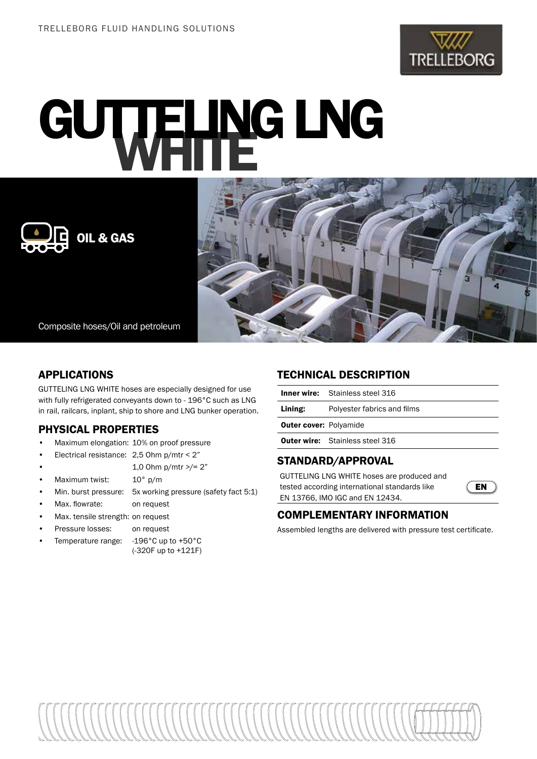

# GUTTELING LNG





Composite hoses/Oil and petroleum

# APPLICATIONS

GUTTELING LNG WHITE hoses are especially designed for use with fully refrigerated conveyants down to - 196°C such as LNG in rail, railcars, inplant, ship to shore and LNG bunker operation.

# PHYSICAL PROPERTIES

- Maximum elongation: 10% on proof pressure
- Electrical resistance: 2,5 Ohm p/mtr < 2"
	- 1,0 Ohm p/mtr >/= 2"
- Maximum twist: 10° p/m
- Min. burst pressure: 5x working pressure (safety fact 5:1)
- Max. flowrate: on request
- Max. tensile strength: on request
- Pressure losses: on request
- Temperature range: -196°C up to +50°C (-320F up to +121F)

### TECHNICAL DESCRIPTION

|                               | <b>Inner wire:</b> Stainless steel 316 |  |  |  |  |  |
|-------------------------------|----------------------------------------|--|--|--|--|--|
| Lining:                       | Polyester fabrics and films            |  |  |  |  |  |
| <b>Outer cover: Polyamide</b> |                                        |  |  |  |  |  |
|                               | <b>Outer wire:</b> Stainless steel 316 |  |  |  |  |  |

# STANDARD/APPROVAL

GUTTELING LNG WHITE hoses are produced and tested according international standards like EN 13766, IMO IGC and EN 12434.



# COMPLEMENTARY INFORMATION

Assembled lengths are delivered with pressure test certificate.